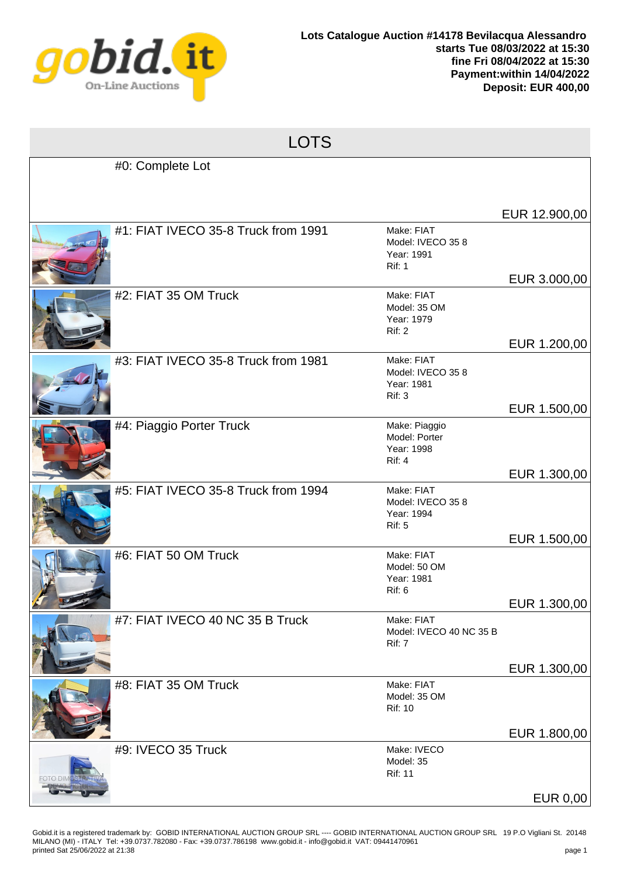

|         | <b>LOTS</b>                         |                                                                |                              |
|---------|-------------------------------------|----------------------------------------------------------------|------------------------------|
|         | #0: Complete Lot                    |                                                                |                              |
|         |                                     |                                                                | EUR 12.900,00                |
|         | #1: FIAT IVECO 35-8 Truck from 1991 | Make: FIAT<br>Model: IVECO 35 8<br>Year: 1991<br><b>Rif: 1</b> | EUR 3.000,00                 |
|         | #2: FIAT 35 OM Truck                | Make: FIAT<br>Model: 35 OM<br>Year: 1979<br><b>Rif: 2</b>      |                              |
|         | #3: FIAT IVECO 35-8 Truck from 1981 | Make: FIAT<br>Model: IVECO 35 8<br>Year: 1981<br>Rif: 3        | EUR 1.200,00                 |
|         | #4: Piaggio Porter Truck            | Make: Piaggio<br>Model: Porter<br>Year: 1998<br>Rif: 4         | EUR 1.500,00                 |
|         | #5: FIAT IVECO 35-8 Truck from 1994 | Make: FIAT<br>Model: IVECO 35 8<br>Year: 1994<br><b>Rif: 5</b> | EUR 1.300,00                 |
|         | #6: FIAT 50 OM Truck                | Make: FIAT<br>Model: 50 OM<br>Year: 1981<br>Rif: 6             | EUR 1.500,00                 |
|         | #7: FIAT IVECO 40 NC 35 B Truck     | Make: FIAT<br>Model: IVECO 40 NC 35 B<br><b>Rif: 7</b>         | EUR 1.300,00<br>EUR 1.300,00 |
|         | #8: FIAT 35 OM Truck                | Make: FIAT<br>Model: 35 OM<br><b>Rif: 10</b>                   |                              |
| -oto di | #9: IVECO 35 Truck                  | Make: IVECO<br>Model: 35<br><b>Rif: 11</b>                     | EUR 1.800,00                 |
|         |                                     |                                                                | <b>EUR 0,00</b>              |